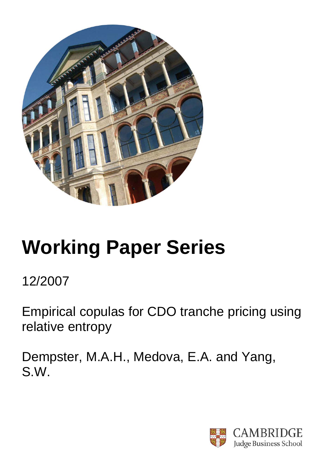

# **Working Paper Series**

# 12/2007

Empirical copulas for CDO tranche pricing using relative entropy

Dempster, M.A.H., Medova, E.A. and Yang, S.W.

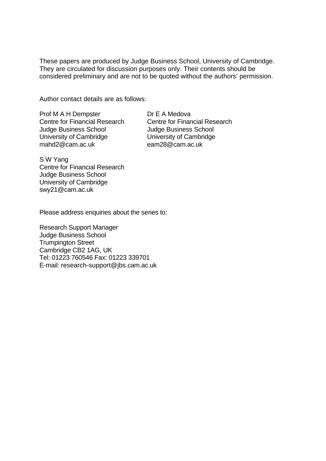These papers are produced by Judge Business School, University of Cambridge. They are circulated for discussion purposes only. Their contents should be considered preliminary and are not to be quoted without the authors' permission.

Author contact details are as follows:

Prof M A H Dempster Centre for Financial Research Judge Business School University of Cambridge mahd2@cam.ac.uk

Dr E A Medova Centre for Financial Research Judge Business School University of Cambridge eam28@cam.ac.uk

S W Yang Centre for Financial Research Judge Business School University of Cambridge swy21@cam.ac.uk

Please address enquiries about the series to:

Research Support Manager Judge Business School Trumpington Street Cambridge CB2 1AG, UK Tel: 01223 760546 Fax: 01223 339701 E-mail: research-support@jbs.cam.ac.uk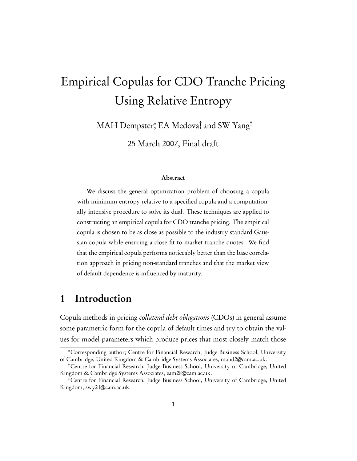# Empirical Copulas for CDO Tranche Pricing Using Relative Entropy

MAH Dempster, EA Medova, and SW Yang

25 March 2007, Final draft

#### Abstract

We discuss the general optimization problem of choosing a copula with minimum entropy relative to a specified copula and a computationally intensive procedure to solve its dual. These techniques are applied to constructing an empirical copula for CDO tranche pricing. The empirical copula is chosen to be as close as possible to the industry standard Gaussian copula while ensuring a close fit to market tranche quotes. We find that the empirical copula performs noticeably better than the base correlation approach in pricing non-standard tranches and that the market view of default dependence is influenced by maturity.

# 1 Introduction

Copula methods in pricing collateral debt obligations (CDOs) in general assume some parametric form for the copula of default times and try to obtain the values for model parameters which produce prices that most closely match those

Corresponding author; Centre for Financial Research, Judge Business School, University of Cambridge, United Kingdom & Cambridge Systems Associates, mahd2@cam.ac.uk.

Centre for Financial Research, Judge Business School, University of Cambridge, United Kingdom & Cambridge Systems Associates, eam28@cam.ac.uk.

Centre for Financial Research, Judge Business School, University of Cambridge, United Kingdom, swy21@cam.ac.uk.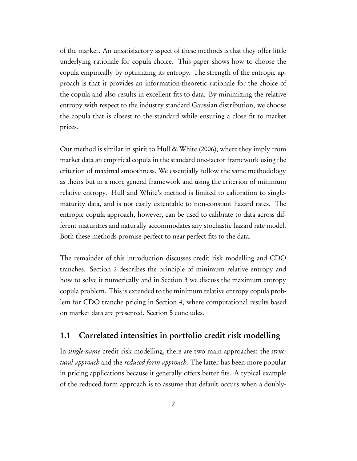of the market. An unsatisfactory aspect of these methods is that they offer little underlying rationale for copula choice. This paper shows how to choose the copula empirically by optimizing its entropy. The strength of the entropic approach is that it provides an information-theoretic rationale for the choice of the copula and also results in excellent fits to data. By minimizing the relative entropy with respect to the industry standard Gaussian distribution, we choose the copula that is closest to the standard while ensuring a close fit to market prices.

Our method is similar in spirit to Hull & White (2006), where they imply from market data an empirical copula in the standard one-factor framework using the criterion of maximal smoothness. We essentially follow the same methodology as theirs but in a more general framework and using the criterion of minimum relative entropy. Hull and White's method is limited to calibration to singlematurity data, and is not easily extentable to non-constant hazard rates. The entropic copula approach, however, can be used to calibrate to data across different maturities and naturally accommodates any stochastic hazard rate model. Both these methods promise perfect to near-perfect fits to the data.

The remainder of this introduction discusses credit risk modelling and CDO tranches. Section 2 describes the principle of minimum relative entropy and how to solve it numerically and in Section 3 we discuss the maximum entropy copula problem. This is extended to the minimum relative entropy copula problem for CDO tranche pricing in Section 4, where computational results based on market data are presented. Section 5 concludes.

#### 1.1 Correlated intensities in portfolio credit risk modelling

In single-name credit risk modelling, there are two main approaches: the structural approach and the reduced form approach. The latter has been more popular in pricing applications because it generally offers better fits. A typical example of the reduced form approach is to assume that default occurs when a doubly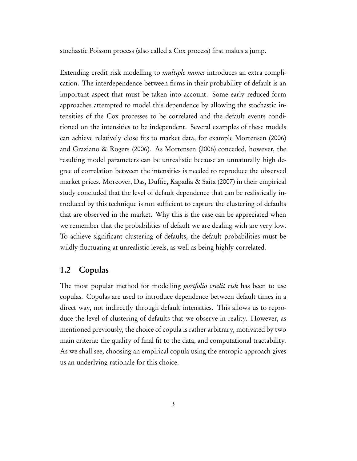stochastic Poisson process (also called a Cox process) first makes a jump.

Extending credit risk modelling to *multiple names* introduces an extra complication. The interdependence between firms in their probability of default is an important aspect that must be taken into account. Some early reduced form approaches attempted to model this dependence by allowing the stochastic intensities of the Cox processes to be correlated and the default events conditioned on the intensities to be independent. Several examples of these models can achieve relatively close fits to market data, for example Mortensen (2006) and Graziano & Rogers (2006). As Mortensen (2006) conceded, however, the resulting model parameters can be unrealistic because an unnaturally high degree of correlation between the intensities is needed to reproduce the observed market prices. Moreover, Das, Duffie, Kapadia & Saita (2007) in their empirical study concluded that the level of default dependence that can be realistically introduced by this technique is not sufficient to capture the clustering of defaults that are observed in the market. Why this is the case can be appreciated when we remember that the probabilities of default we are dealing with are very low. To achieve significant clustering of defaults, the default probabilities must be wildly fluctuating at unrealistic levels, as well as being highly correlated.

#### 1.2 Copulas

The most popular method for modelling *portfolio credit risk* has been to use copulas. Copulas are used to introduce dependence between default times in a direct way, not indirectly through default intensities. This allows us to reproduce the level of clustering of defaults that we observe in reality. However, as mentioned previously, the choice of copula is rather arbitrary, motivated by two main criteria: the quality of final fit to the data, and computational tractability. As we shall see, choosing an empirical copula using the entropic approach gives us an underlying rationale for this choice.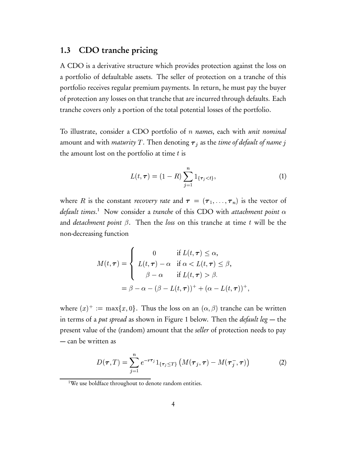#### 1.3 CDO tranche pricing

A CDO is a derivative structure which provides protection against the loss on a portfolio of defaultable assets. The seller of protection on a tranche of this portfolio receives regular premium payments. In return, he must pay the buyer of protection any losses on that tranche that are incurred through defaults. Each tranche covers only a portion of the total potential losses of the portfolio.

To illustrate, consider a CDO portfolio of *n names*, each with *unit nominal* amount and with *maturity T* . Then denoting  $\boldsymbol{\tau}_j$  as the *time of default of name*  $j$ the amount lost on the portfolio at time  $t$  is

$$
L(t,\tau) = (1 - R) \sum_{j=1}^{n} 1_{\{\tau_j < t\}},\tag{1}
$$

where R is the constant *recovery rate* and  $\boldsymbol{\tau} = (\boldsymbol{\tau}_1, \dots, \boldsymbol{\tau}_n)$  is the vector of default times.<sup>1</sup> Now consider a tranche of this CDO with attachment point  $\alpha$ and *detachment point*  $\beta$ . Then the loss on this tranche at time t will be the non-decreasing function

$$
M(t,\tau) = \begin{cases} 0 & \text{if } L(t,\tau) \leq \alpha, \\ L(t,\tau) - \alpha & \text{if } \alpha < L(t,\tau) \leq \beta, \\ \beta - \alpha & \text{if } L(t,\tau) > \beta. \end{cases}
$$

$$
= \beta - \alpha - (\beta - L(t,\tau))^{+} + (\alpha - L(t,\tau))^{+},
$$

where  $(x)^+ := \max\{x, 0\}$ . Thus in terms of a *put spread* as shown in Figure 1 below. Then the *default le*g — the }. Thus the loss on an  $(\alpha,\beta)$  tranche can be written present value of the (random) amount that the seller of protection needs to pay — can be written as

$$
D(\boldsymbol{\tau},T) = \sum_{j=1}^{n} e^{-r\boldsymbol{\tau}_j} 1_{\{\boldsymbol{\tau}_j \leq T\}} \left( M(\boldsymbol{\tau}_j,\boldsymbol{\tau}) - M(\boldsymbol{\tau}_j^-, \boldsymbol{\tau}) \right)
$$
(2)

<sup>34</sup>

<sup>&</sup>lt;sup>1</sup>We use boldface throughout to denote random entities.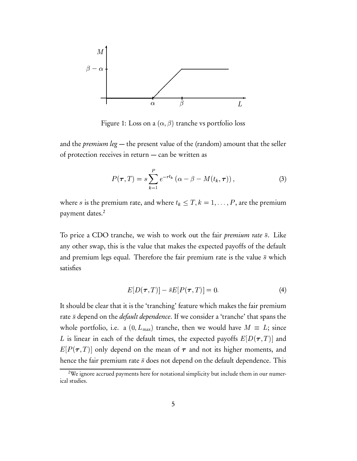

Figure 1: Loss on a  $(\alpha,\beta)$  tranche vs portfolio loss

and the *premium leg*  $-$  the present value of the (random) amount that the seller of protection receives in return — can be written as

$$
P(\boldsymbol{\tau},T) = s \sum_{k=1}^{P} e^{-rt_k} \left( \alpha - \beta - M(t_k, \boldsymbol{\tau}) \right), \tag{3}
$$

where s is the premium rate, and where  $t_k \leq T, k = 1, \ldots, P,$  are the premium payment dates.<sup>2</sup>

To price a CDO tranche, we wish to work out the fair *premium rate*  $\bar{s}$ . Like any other swap, this is the value that makes the expected payoffs of the default and premium legs equal. Therefore the fair premium rate is the value  $\bar{s}$  which satisfies

$$
E[D(\boldsymbol{\tau},T)] - \bar{s}E[P(\boldsymbol{\tau},T)] = 0.
$$
\n(4)

It should be clear that it is the 'tranching' feature which makes the fair premium rate  $\bar{s}$  depend on the *default dependence*. If we consider a 'tranche' that spans the whole portfolio, i.e. a  $(0, L_{\text{max}})$  tranche, then we would have  $M \equiv L$ ; since - --------- - $L$  is linear in each of the default times, the expected payoffs  $E[D(\boldsymbol{\tau},T)]$  and  $E[P(\boldsymbol{\tau},T)]$  only depend on the mean of  $\boldsymbol{\tau}$  and not its higher moments, and hence the fair premium rate  $\bar{s}$  does not depend on the default dependence. This

<sup>&</sup>lt;sup>2</sup>We ignore accrued payments here for notational simplicity but include them in our numerical studies.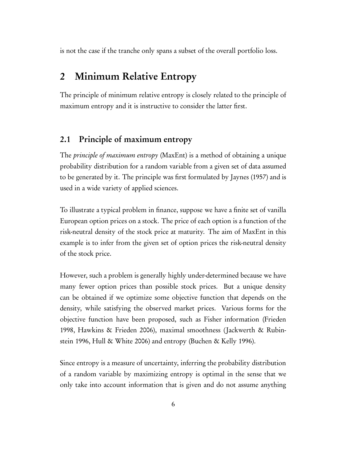is not the case if the tranche only spans a subset of the overall portfolio loss.

### 2 Minimum Relative Entropy

The principle of minimum relative entropy is closely related to the principle of maximum entropy and it is instructive to consider the latter first.

#### 2.1 Principle of maximum entropy

The principle of maximum entropy (MaxEnt) is a method of obtaining a unique probability distribution for a random variable from a given set of data assumed to be generated by it. The principle was first formulated by Jaynes (1957) and is used in a wide variety of applied sciences.

To illustrate a typical problem in finance, suppose we have a finite set of vanilla European option prices on a stock. The price of each option is a function of the risk-neutral density of the stock price at maturity. The aim of MaxEnt in this example is to infer from the given set of option prices the risk-neutral density of the stock price.

However, such a problem is generally highly under-determined because we have many fewer option prices than possible stock prices. But a unique density can be obtained if we optimize some objective function that depends on the density, while satisfying the observed market prices. Various forms for the objective function have been proposed, such as Fisher information (Frieden 1998, Hawkins & Frieden 2006), maximal smoothness (Jackwerth & Rubinstein 1996, Hull & White 2006) and entropy (Buchen & Kelly 1996).

Since entropy is a measure of uncertainty, inferring the probability distribution of a random variable by maximizing entropy is optimal in the sense that we only take into account information that is given and do not assume anything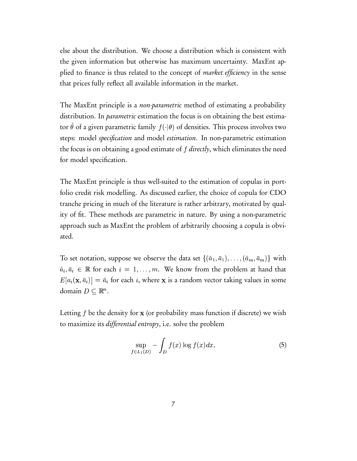else about the distribution. We choose a distribution which is consistent with the given information but otherwise has maximum uncertainty. MaxEnt applied to finance is thus related to the concept of *market efficiency* in the sense that prices fully reflect all available information in the market.

The MaxEnt principle is a *non-parametric* method of estimating a probability distribution. In *parametric* estimation the focus is on obtaining the best estimator  $\theta$  of a given parametric family  $f(\cdot|\theta)$  of der  $(\cdot|\theta)$  of densities. This process involves two steps: model specification and model estimation. In non-parametric estimation the focus is on obtaining a good estimate of *f directly*, which eliminates the need for model specification.

The MaxEnt principle is thus well-suited to the estimation of copulas in portfolio credit risk modelling. As discussed earlier, the choice of copula for CDO tranche pricing in much of the literature is rather arbitrary, motivated by quality of fit. These methods are parametric in nature. By using a non-parametric approach such as MaxEnt the problem of arbitrarily choosing a copula is obviated.

To set notation, suppose we observe the data set  $\{(\tilde{a}_1,\bar{a}_1),\ldots,(\tilde{a}_m,\bar{a}_m)\}$  with  $\tilde{a}_i, \bar{a}_i \, \in \, \mathbb{R}$  for each  $i \, = \, 1, \ldots, m.$  We know from the problem at hand that  $E[a_i(\mathbf{x},\bar a_i)]=\tilde a_i$  for each  $i,$  where  $\mathbf x$  is a random vector taking values in some domain  $D \subseteq \mathbb{R}^n$ .

Letting  $f$  be the density for  ${\bf x}$  (or probability mass function if discrete) we wish to maximize its differential entropy, i.e. solve the problem

$$
\sup_{f \in L_1(D)} - \int_D f(x) \log f(x) dx, \tag{5}
$$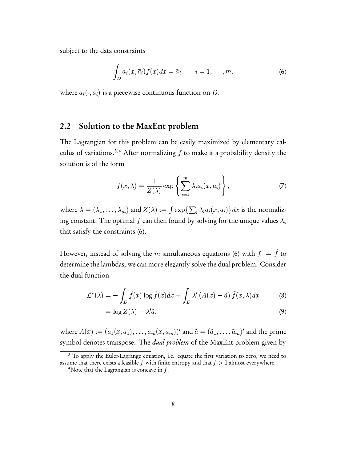subject to the data constraints

$$
\int_{D} a_i(x, \bar{a}_i) f(x) dx = \tilde{a}_i \qquad i = 1, \dots, m,
$$
\n(6)

where  $a_i(\cdot, \bar{a}_i)$  is a piecewise continuous function on D.

#### 2.2 Solution to the MaxEnt problem

The Lagrangian for this problem can be easily maximized by elementary calculus of variations.<sup>3,4</sup> After normalizing  $f$  to make it a probability density the solution is of the form

$$
\hat{f}(x,\lambda) = \frac{1}{Z(\lambda)} \exp\left\{ \sum_{i=1}^{m} \lambda_i a_i(x,\bar{a}_i) \right\},\tag{7}
$$

where  $\lambda = (\lambda_1, \ldots)$   $\sim$  -  $\sim$  -  $\sim$  $(\lambda_1,\ldots,\lambda_m)$  and  $Z(\lambda):=\int\exp\{\sum\}$  $\mathcal{G} := \int \exp\{\sum_i \lambda_i a_i(x, \bar{a}_i)\} dx$  is the normalizing constant. The optimal  $f$  can then found by solving for the unique values  $\lambda_i$ that satisfy the constraints (6).

However, instead of solving the m simultaneous equations (6) with  $f := f$  to determine the lambdas, we can more elegantly solve the dual problem. Consider the dual function 

$$
\mathcal{L}^*(\lambda) = -\int_D \hat{f}(x) \log \hat{f}(x) dx + \int_D \lambda' (A(x) - \tilde{a}) \hat{f}(x, \lambda) dx \tag{8}
$$

$$
= \log Z(\lambda) - \lambda' \tilde{a},\tag{9}
$$

where  $A(x) := (a_1(x, \bar{a}_1), \ldots)$  $(a_1(x,\overline{a}_1),\ldots)$  $\mathcal{L}$  is a set of  $\mathcal{L}$  $(\bar{a}_1), \ldots, a_m(x, \bar{a}_m))'$  and  $\tilde{a} = (\tilde{a}_1, \ldots, \tilde{a}_m)'$  and the prime symbol denotes transpose. The *dual problem* of the MaxEnt problem given by

<sup>&</sup>lt;sup>3</sup> To apply the Euler-Lagrange equation, i.e. equate the first variation to zero, we need to assume that there exists a feasible  $f$  with finite entropy and that  $f > 0$  almost everywhere.

<sup>&</sup>lt;sup>4</sup>Note that the Lagrangian is concave in  $f$ .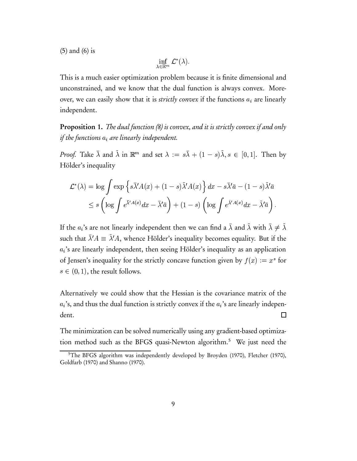(5) and (6) is

inf  $\mathcal{L}^*(\lambda)$ . -\*

This is a much easier optimization problem because it is finite dimensional and unconstrained, and we know that the dual function is always convex. Moreover, we can easily show that it is strictly convex if the functions  $a_i$  are linearly independent.

Proposition 1. The dual function (8) is convex, and it is strictly convex if and only if the functions  $a_i$  are linearly independent.

*Proof.* Take  $\bar{\lambda}$  and  $\tilde{\lambda}$  in  $\mathbb{R}^m$  and set  $\lambda := s\bar{\lambda} + (1-s)$ <sup>E</sup>  $(1-s)\tilde{\lambda}, s \in [0,1]$  $s \in [0,1]$ . Then by Hölder' s inequality

$$
\mathcal{L}^*(\lambda) = \log \int \exp \left\{ s\bar{\lambda}' A(x) + (1-s)\tilde{\lambda}' A(x) \right\} dx - s\bar{\lambda}' \bar{a} - (1-s)\tilde{\lambda}' \bar{a}
$$
  

$$
\leq s \left( \log \int e^{\bar{\lambda}' A(x)} dx - \bar{\lambda}' \bar{a} \right) + (1-s) \left( \log \int e^{\tilde{\lambda}' A(x)} dx - \tilde{\lambda}' \bar{a} \right).
$$

If the  $a_i$ 's are not linearly independent then we can find a  $\bar\lambda$  and  $\tilde\lambda$  with  $\bar\lambda\neq\tilde\lambda$ such that  $\bar{\lambda}'A \equiv \tilde{\lambda}'A$ , whence Hölder's inequality becomes equality. But if the  $a_i$ 's are linearly independent, then seeing Hölder's inequality as an application of Jensen's inequality for the strictly concave function given by  $f(x) := x^s$  f  $\sim$   $\sim$   $\sim$   $\sim$   $\sim$   $\sim$   $\sim$  $) := x^s$  for  $s \in (0, 1)$ , the , the result follows.

Alternatively we could show that the Hessian is the covariance matrix of the  $a_i$ 's, and thus the dual function is strictly convex if the  $a_i$ 's are linearly independent.  $\Box$ 

The minimization can be solved numerically using any gradient-based optimization method such as the BFGS quasi-Newton algorithm.<sup>5</sup> We just need the

<sup>5</sup>The BFGS algorithm was independently developed by Broyden (1970), Fletcher (1970), Goldfarb (1970) and Shanno (1970).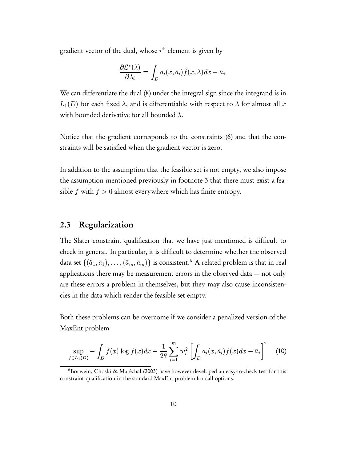gradient vector of the dual, whose  $i^{\text{th}}$  element is given by

$$
\frac{\partial \mathcal{L}^*(\lambda)}{\partial \lambda_i} = \int_D a_i(x, \bar{a}_i) \hat{f}(x, \lambda) dx - \tilde{a}_i.
$$

We can differentiate the dual (8) under the integral sign since the integrand is in  $\cdots$ (D) for each fixed  $\lambda,$  and is differentiable with respect to  $\lambda$  for almost all  $x$ with bounded derivative for all bounded  $\lambda.$ 

Notice that the gradient corresponds to the constraints (6) and that the constraints will be satisfied when the gradient vector is zero.

In addition to the assumption that the feasible set is not empty, we also impose the assumption mentioned previously in footnote 3 that there must exist a feasible  $f$  with  $f > 0$  almost everywhere which has finite entropy.

#### 2.3 Regularization

The Slater constraint qualification that we have just mentioned is difficult to check in general. In particular, it is difficult to determine whether the observed data set  $\{(\tilde{a}_1,\bar{a}_1),\ldots,(\tilde{a}_m,\bar{a}_m)\}$  is consistent. $^6$  A related problem is that in real applications there may be measurement errors in the observed data — not only are these errors a problem in themselves, but they may also cause inconsistencies in the data which render the feasible set empty.

Both these problems can be overcome if we consider a penalized version of the MaxEnt problem

$$
\sup_{f \in L_1(D)} - \int_D f(x) \log f(x) dx - \frac{1}{2\theta} \sum_{i=1}^m w_i^2 \left[ \int_D a_i(x, \tilde{a}_i) f(x) dx - \bar{a}_i \right]^2 \tag{10}
$$

<sup>&</sup>lt;sup>6</sup>Borwein, Choski & Maréchal (2003) have however developed an easy-to-check test for this constraint qualification in the standard MaxEnt problem for call options.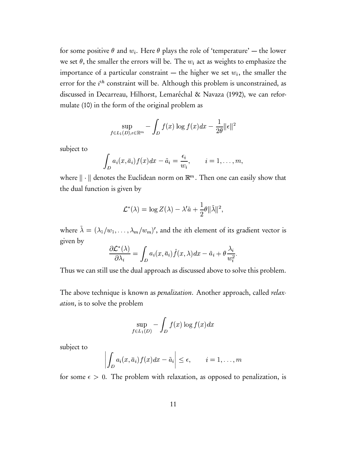for some positive  $\theta$  and  $w_i.$  Here  $\theta$  plays the role of 'temperature' — the lower we set  $\theta,$  the smaller the errors will be. The  $w_i$  act as weights to emphasize the importance of a particular constraint — the higher we set  $w_i,$  the smaller the error for the  $i^{\text{th}}$  constraint will be. Although this problem is unconstrained, as discussed in Decarreau, Hilhorst, Lemaréchal & Navaza (1992), we can reformulate (10) in the form of the original problem as

$$
\sup_{f \in L_1(D), \epsilon \in \mathbb{R}^m} - \int_D f(x) \log f(x) dx - \frac{1}{2\theta} ||\epsilon||^2
$$

subject to

$$
\int_D a_i(x,\bar{a}_i) f(x) dx - \tilde{a}_i = \frac{\epsilon_i}{w_i}, \qquad i = 1,\ldots,m,
$$

where  $\|\cdot\|$  denotes the Euclidean norm on  $\mathbb{R}^m.$  Then one can easily show that the dual function is giv en  by

$$
\mathcal{L}^*(\lambda) = \log Z(\lambda) - \lambda' \tilde{a} + \frac{1}{2}\theta \|\tilde{\lambda}\|^2,
$$

where  $\tilde{\lambda}=(\lambda_1/w_1)$   $(\lambda_1/w_1, \ldots, \lambda_m/w_m)'$ , and the *i*th element of its gradient vector is given by

$$
\frac{\partial \mathcal{L}^*(\lambda)}{\partial \lambda_i} = \int_D a_i(x, \bar{a}_i) \hat{f}(x, \lambda) dx - \tilde{a}_i + \theta \frac{\lambda_i}{w_i^2}.
$$

Thus we can still use the dual approach as discussed above to solve this problem.

The above technique is known as *penalization*. Another approach, called *relax*ation, is to solve the problem

$$
\sup_{f \in L_1(D)} - \int_D f(x) \log f(x) dx
$$

subject to

$$
\left| \int_D a_i(x, \bar{a}_i) f(x) dx - \tilde{a}_i \right| \leq \epsilon, \qquad i = 1, \ldots, m
$$

for some  $\epsilon > 0$ . The problem with relaxation, as opposed to penalization, is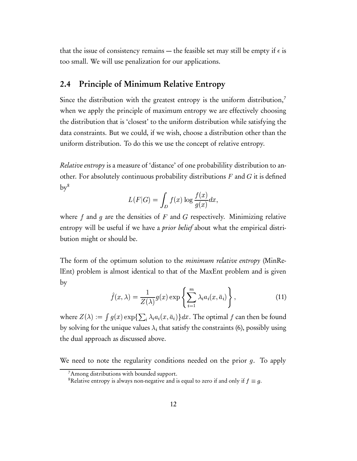that the issue of consistency remains — the feasible set may still be empty if  $\epsilon$  is too small. We will use penalization for our applications.

#### 2.4 Principle of Minimum Relative Entropy

Since the distribution with the greatest entropy is the uniform distribution, $7$ when we apply the principle of maximum entropy we are effectively choosing the distribution that is 'closest' to the uniform distribution while satisfying the data constraints. But we could, if we wish, choose a distribution other than the uniform distribution. To do this we use the concept of relative entropy.

Relative entropy is a measure of 'distance' of one probabilility distribution to another. For absolutely continuous probability distributions  $F$  and  $G$  it is defined  $\mathrm{by}^8$ 

$$
L(F|G) = \int_D f(x) \log \frac{f(x)}{g(x)} dx,
$$

where  $f$  and  $g$  are the densities of  $F$  and  $G$  respectively. Minimizing relative entropy will be useful if we have a *prior belief* about what the empirical distribution might or should be.

The form of the optimum solution to the *minimum relative entropy* (MinRelEnt) problem is almost identical to that of the MaxEnt problem and is given by

$$
\hat{f}(x,\lambda) = \frac{1}{Z(\lambda)}g(x)\exp\left\{\sum_{i=1}^{m}\lambda_i a_i(x,\bar{a}_i)\right\},\qquad(11)
$$

where  $Z(\lambda) := \int g(x) e^{-x}$  $\mathcal{G}:=\int g(x)\exp\{\sum_i\lambda_ia_i(x,\bar a_i)\}dx.$  The optimal  $f$  can then be found by solving for the unique values  $\lambda_i$  that satisfy the constraints (6), possibly using the dual approach as discussed above.

We need to note the regularity conditions needed on the prior  $g$ . To apply

<sup>&</sup>lt;sup>7</sup>Among distributions with bounded support.

<sup>&</sup>lt;sup>8</sup>Relative entropy is always non-negative and is equal to zero if and only if  $f \equiv g$ .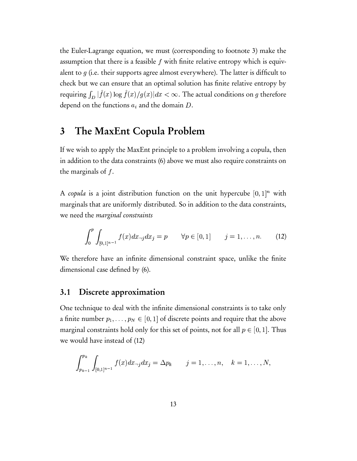the Euler-Lagrange equation, we must (corresponding to footnote 3) make the assumption that there is a feasible  $f$  with finite relative entropy which is equivalent to  $g$  (i.e. their supports agree almost everywhere). The latter is difficult to check but we can ensure that an optimal solution has finite relative entropy by requiring  $\int_D |f(x)| \log f$ -  $\sim$   $\sim$   $\sim$   $\sim$   $\sim$  $\,$ ,  $\sim$   $\,$ ,  $\,$ ,  $\,$ ,  $\,$ ,  $\,$ ,  $\,$ ,  $\,$ ,  $\,$ ,  $\,$ ,  $\,$ ,  $\,$ ,  $\,$ ,  $\,$ ,  $\,$ ,  $\,$ ,  $\,$ ,  $\,$ ,  $\,$ ,  $\,$ ,  $\,$ ,  $\,$ ,  $\,$ ,  $\,$ ,  $\,$ ,  $\,$ ,  $\,$ ,  $\,$ ,  $\,$ ,  $\,$ ,  $\,$ ,  $\,$ ,  $\,$ ,  $\,$ ,  $\,$ ,  $\$  $(x)/q(x)|dx < \infty$ .  $\vert dx<\infty.$  The actual conditions on  $g$  therefore depend on the functions  $a_i$  and the domain  $D$ .

### 3 The MaxEnt Copula Problem

If we wish to apply the MaxEnt principle to a problem involving a copula, then in addition to the data constraints (6) above we must also require constraints on the marginals of  $f$ .

A copula is a joint distribution function on the unit hypercube  $[0,1]^n$  with <sup>7</sup> marginals that are uniformly distributed. So in addition to the data constraints, we need the marginal constraints

$$
\int_0^p \int_{[0,1]^{n-1}} f(x) dx_{-j} dx_j = p \qquad \forall p \in [0,1] \qquad j = 1, \dots, n. \tag{12}
$$

We therefore have an infinite dimensional constraint space, unlike the finite dimensional case defined by (6).

#### 3.1 Discrete approximation

One technique to deal with the infinite dimensional constraints is to take only a finite number  $p_1,\ldots,p_N\in[0,1]$  of discrete points and require that the above marginal constraints hold only for this set of points, not for all  $p\in[0,1].$  Thus we would have instead of (12)

$$
\int_{p_{k-1}}^{p_k} \int_{[0,1]^{n-1}} f(x) dx_{-j} dx_j = \Delta p_k \qquad j = 1, \ldots, n, \quad k = 1, \ldots, N,
$$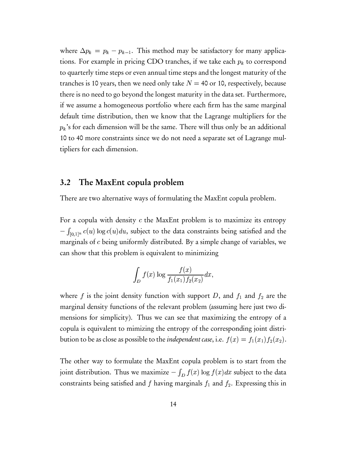where  $\Delta p_k = p_k - p_{k-1}$ . This method may be satisfactory for many applications. For example in pricing CDO tranches, if we take each  $p_k$  to correspond to quarterly time steps or even annual time steps and the longest maturity of the tranches is 10 years, then we need only take  $N = 40$  or 10, respectively, because there is no need to go beyond the longest maturity in the data set. Furthermore, if we assume a homogeneous portfolio where each firm has the same marginal default time distribution, then we know that the Lagrange multipliers for the  $p_k$ 's for each dimension will be the same. There will thus only be an additional 10 to 40 more constraints since we do not need a separate set of Lagrange multipliers for each dimension.

#### 3.2 The MaxEnt copula problem

There are two alternative ways of formulating the MaxEnt copula problem.

For a copula with density  $c$  the MaxEnt problem is to maximize its entropy  $-\int_{[0,1]^n} c(u) \log c(u) du$ , subject to the data constraints being satisfied and the marginals of  $c$  being uniformly distributed. By a simple change of variables, we can show that this problem is equivalent to minimizing

$$
\int_D f(x) \log \frac{f(x)}{f_1(x_1) f_2(x_2)} dx,
$$

where f is the joint density function with support D, and  $f_1$  and  $f_2$  are the marginal density functions of the relevant problem (assuming here just two dimensions for simplicity). Thus we can see that maximizing the entropy of a copula is equivalent to mimizing the entropy of the corresponding joint distribution to be as close as possible to the *independent case*, i.e.  $f(x) = f_1(x)$  $\sqrt{1 + \frac{1}{2}}$  -  $\sqrt{ }$ C
-  $(x_2).$ 

The other way to formulate the MaxEnt copula problem is to start from the joint distribution. Thus we maximize  $-\int_D f(x) \log f(x)$  $\sqrt{1}$ ,+-/ -  $(x)dx$  subject to the data constraints being satisfied and  $f$  having marginals  $f_1$  and  $f_2$ . Expressing this in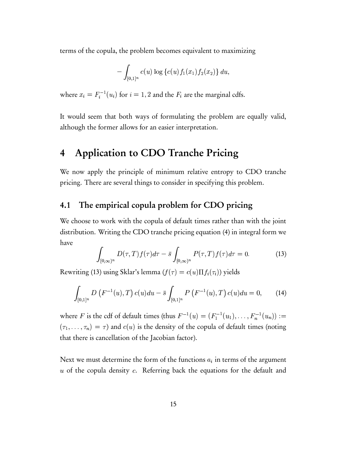terms of the copula, the problem becomes equivalent to maximizing

$$
- \int_{[0,1]^n} c(u) \log \left\{ c(u) f_1(x_1) f_2(x_2) \right\} du,
$$

where  $x_i = F_i^{-1}(u_i)$  for  $i = 1, 2$  and the  $F_i$  are the marginal cdfs.

It would seem that both ways of formulating the problem are equally valid, although the former allows for an easier interpretation.

# 4 Application to CDO Tranche Pricing

We now apply the principle of minimum relative entropy to CDO tranche pricing. There are several things to consider in specifying this problem.

#### 4.1 The empirical copula problem for CDO pricing

We choose to work with the copula of default times rather than with the joint distribution. Writing the CDO tranche pricing equation (4) in integral form we have

$$
\int_{[0,\infty)^n} D(\tau,T) f(\tau) d\tau - \bar{s} \int_{[0,\infty)^n} P(\tau,T) f(\tau) d\tau = 0.
$$
 (13)

Rewriting (13) using Sklar's lemma ( $f(\tau) = c(u) \Pi f_i(\tau_i)$ ) yields

$$
\int_{[0,1]^n} D\left(F^{-1}(u), T\right) c(u) du - \bar{s} \int_{[0,1]^n} P\left(F^{-1}(u), T\right) c(u) du = 0, \qquad (14)
$$

where F is the cdf of default times (thus  $F^{-1}(u) = (F_1^{-1}(u_1), \ldots, F_n^{-1})$  $(\tau_1, \ldots, \tau_n) = \tau$  and  $c(u)$  is the density of the copula of default times (noting . . . <del>.</del> .  $(F_n^{-1}(u_n)) :=$  $\tau$ ) and  $c(u)$  is the density of the copula of default times (noting that there is cancellation of the Jacobian factor).

Next we must determine the form of the functions  $a_i$  in terms of the argument  $u$  of the copula density  $c$ . Referring back the equations for the default and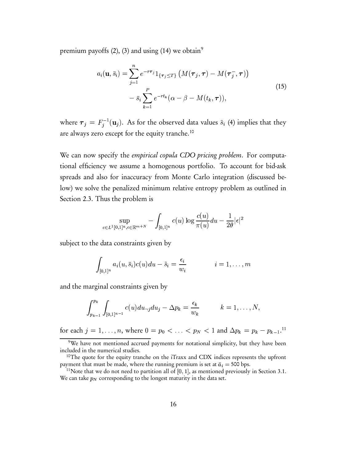premium payoffs  $(2)$ ,  $(3)$  and using  $(14)$  we obtain<sup>9</sup>

$$
a_i(\mathbf{u}, \bar{s}_i) = \sum_{j=1}^n e^{-r\tau_j} 1_{\{\tau_j \leq T\}} \left( M(\boldsymbol{\tau}_j, \boldsymbol{\tau}) - M(\boldsymbol{\tau}_j^-, \boldsymbol{\tau}) \right) - \bar{s}_i \sum_{k=1}^P e^{-rt_k} (\alpha - \beta - M(t_k, \boldsymbol{\tau})),
$$
\n(15)

where  $\boldsymbol{\tau}_j = F_i^{-1}(\mathbf{u}_j)$ . As for are always zero except for the equity tranche. $^{10}$  $\tilde{s}_i^{(-1)}(u_j)$ . As for the observed data values  $\tilde{s}_i$  (4) implies that they

We can now specify the *empirical copula CDO pricing problem*. For computational efficiency we assume a homogenous portfolio. To account for bid-ask spreads and also for inaccuracy from Monte Carlo integration (discussed below) we solve the penalized minimum relative entropy problem as outlined in Section 2.3. Thus the problem is

$$
\sup_{c \in L^1[0,1]^n, \epsilon \in \mathbb{R}^{m+N}} - \int_{[0,1]^n} c(u) \log \frac{c(u)}{\pi(u)} du - \frac{1}{2\theta} |\epsilon|^2
$$

subject to the data constraints given by

$$
\int_{[0,1]^n} a_i(u, \bar{s}_i)c(u)du - \tilde{s}_i = \frac{\epsilon_i}{w_i} \qquad i = 1, \ldots, m
$$

and the marginal constraints given by

$$
\int_{p_{k-1}}^{p_k} \int_{[0,1]^{n-1}} c(u) du_{-j} du_j - \Delta p_k = \frac{\epsilon_k}{w_k} \qquad k = 1, \ldots, N,
$$

for each  $j=1,\ldots,n,$  whe ,  $\ldots$  ,  $n$ , where  $0 = p_0 < \ldots < p_N < 1$  and  $\Delta p_k = p_k - p_{k-1}.^{\text{11}}$ 

Property  $p_N$  is the set of  $p_N$  and  $p_N$  is the  $p_k - p_k - p_{k-1}$ .<br>The payments for notational simplicity, but they have been included in the numerical studies.

<sup>&</sup>lt;sup>10</sup>The quote for the equity tranche on the iTraxx and CDX indices represents the upfront payment that must be made, where the running premium is set at  $\bar{a}_i =$  500 bps.

<sup>&</sup>lt;sup>11</sup>Note that we do not need to partition all of  $[0, 1]$ , as mentioned previously in Section 3.1. We can take  $p_N$  corresponding to the longest maturity in the data set.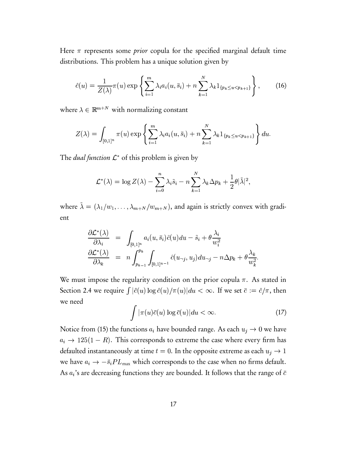Here  $\pi$  represents some *prior* copula for the specified marginal default time distributions. This problem has a unique solution given by

$$
\hat{c}(u) = \frac{1}{Z(\lambda)} \pi(u) \exp \left\{ \sum_{i=1}^{m} \lambda_i a_i(u, \bar{s}_i) + n \sum_{k=1}^{N} \lambda_k 1_{\{p_k \le u < p_{k+1}\}} \right\},\tag{16}
$$

where  $\lambda \in \mathbb{R}^{m+N}$  with normalizing constant

$$
Z(\lambda) = \int_{[0,1]^n} \pi(u) \exp\left\{\sum_{i=1}^m \lambda_i a_i(u, \bar{s}_i) + n \sum_{k=1}^N \lambda_k 1_{\{p_k \le u < p_{k+1}\}}\right\} du.
$$
\nThe *dual function*  $\mathcal{L}^*$  of this problem is given by

$$
\mathcal{L}^*(\lambda)=\log Z(\lambda)-\sum_{i=0}^n\lambda_i\tilde{s}_i-n\sum_{k=1}^N\lambda_k\Delta p_k+\frac{1}{2}\theta|\tilde{\lambda}|^2,
$$

where  $\tilde{\lambda} = (\lambda_1/w_1)$   $(\lambda_1/w_1,\ldots,\lambda_{m+N}/w_{m+N}),$  and again is strictly convex with gradient

$$
\frac{\partial \mathcal{L}^*(\lambda)}{\partial \lambda_i} = \int_{[0,1]^n} a_i(u, \bar{s}_i) \hat{c}(u) du - \tilde{s}_i + \theta \frac{\lambda_i}{w_i^2} \n\frac{\partial \mathcal{L}^*(\lambda)}{\partial \lambda_k} = n \int_{p_{k-1}}^{p_k} \int_{[0,1]^{n-1}} \hat{c}(u_{-j}, u_j) du_{-j} - n \Delta p_k + \theta \frac{\lambda_k}{w_k^2}.
$$

We must impose the regularity condition on the prior copula  $\pi$ . As stated in Section 2.4 we require  $\int |\hat{c}(u) \log \hat{c}(u)/\pi(u)| du < \infty$  $\int du < \infty$ . If we set  $\bar c := \hat c/\pi,$  then we need

$$
\int |\pi(u)\bar{c}(u)\log\bar{c}(u)|du < \infty.
$$
 (17)

Notice from (15) the functions  $a_i$  have bounded range. As each  $u_j \to 0$  we have  $a_i \rightarrow 125(1-R)$ . This corresponds to extreme the case where every firm has defaulted instantaneously at time  $t=0.$  In the opposite extreme as each  $u_j \rightarrow 1^$ we have  $a_i \rightarrow -\bar{s}_i PL_{\text{max}}$  which corresponds to the case when no firms default. - Hotel Advised Advised Advised Advised Advised Advised Advised Advised Advised Advised Advised Advised Advised As  $a_i$ 's are decreasing functions they are bounded. It follows that the range of  $\bar{c}$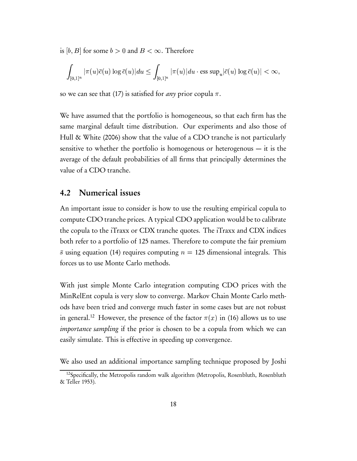is  $[b,B]$  for some  $b>0$  and  $B<\infty.$  Therefore

$$
\int_{[0,1]^n}|\pi(u)\bar{c}(u)\log\bar{c}(u)|du\leq \int_{[0,1]^n}|\pi(u)|du\cdot\text{ess sup}_{u}|\bar{c}(u)\log\bar{c}(u)|<\infty,
$$

so we can see that (17) is satisfied for *any* prior copula  $\pi.$ 

We have assumed that the portfolio is homogeneous, so that each firm has the same marginal default time distribution. Our experiments and also those of Hull & White (2006) show that the value of a CDO tranche is not particularly sensitive to whether the portfolio is homogenous or heterogenous — it is the average of the default probabilities of all firms that principally determines the value of a CDO tranche.

#### 4.2 Numerical issues

An important issue to consider is how to use the resulting empirical copula to compute CDO tranche prices. A typical CDO application would be to calibrate the copula to the iTraxx or CDX tranche quotes. The iTraxx and CDX indices both refer to a portfolio of 125 names. Therefore to compute the fair premium  $\bar{s}$  using equation (14) requires computing  $n = 125$  dimensional integrals. This forces us to use Monte Carlo methods.

With just simple Monte Carlo integration computing CDO prices with the MinRelEnt copula is very slow to converge. Markov Chain Monte Carlo methods have been tried and converge much faster in some cases but are not robust in general.<sup>12</sup> However, the presence of the factor  $\pi(x)$  in (16) allows us to use *importance sampling* if the prior is chosen to be a copula from which we can easily simulate. This is effective in speeding up convergence.

We also used an additional importance sampling technique proposed by Joshi

<sup>&</sup>lt;sup>12</sup>Specifically, the Metropolis random walk algorithm (Metropolis, Rosenbluth, Rosenbluth & Teller 1953).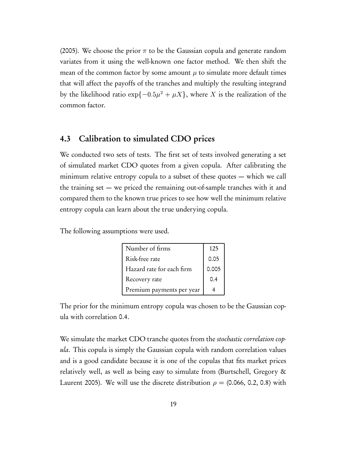(2005). We choose the prior  $\pi$  to be the Gaussian copula and generate random variates from it using the well-known one factor method. We then shift the mean of the common factor by some amount  $\mu$  to simulate more default times that will affect the payoffs of the tranches and multiply the resulting integrand by the likelihood ratio  $\exp\{-0.5\mu^2 + \mu X\}$ , where X is the realization of the common factor.

#### 4.3 Calibration to simulated CDO prices

We conducted two sets of tests. The first set of tests involved generating a set of simulated market CDO quotes from a given copula. After calibrating the minimum relative entropy copula to a subset of these quotes — which we call the training set — we priced the remaining out-of-sample tranches with it and compared them to the known true prices to see how well the minimum relative entropy copula can learn about the true underying copula.

The following assumptions were used.

| Number of firms           | 125   |
|---------------------------|-------|
| Risk-free rate            | 0.05  |
| Hazard rate for each firm | 0.005 |
| Recovery rate             | 0.4   |
| Premium payments per year |       |

The prior for the minimum entropy copula was chosen to be the Gaussian copula with correlation 0.4.

We simulate the market CDO tranche quotes from the *stochastic correlation cop*ula. This copula is simply the Gaussian copula with random correlation values and is a good candidate because it is one of the copulas that fits market prices relatively well, as well as being easy to simulate from (Burtschell, Gregory & Laurent 2005). We will use the discrete distribution  $\rho = (0.066, 0.2, 0.8)$  with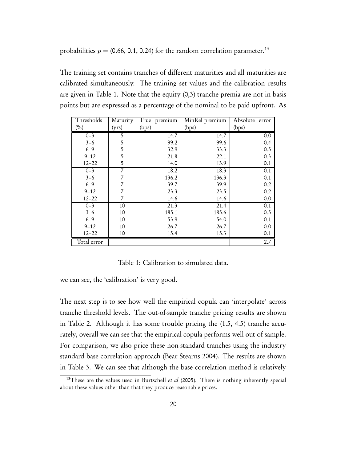probabilities  $p = (0.66, 0.1, 0.24)$  for the random correlation parameter.<sup>13</sup>

The training set contains tranches of different maturities and all maturities are calibrated simultaneously. The training set values and the calibration results are given in Table 1. Note that the equity (0,3) tranche premia are not in basis points but are expressed as a percentage of the nominal to be paid upfront. As

| Thresholds        | Maturity | True premium | MinRel premium | Absolute error |
|-------------------|----------|--------------|----------------|----------------|
| (%)               | (yrs)    | (bps)        | (bps)          | (bps)          |
| $0 - 3$           | 5        | 14.7         | 14.7           | 0.0            |
| $3 - 6$           | 5        | 99.2         | 99.6           | 0.4            |
| $6 - 9$           | 5        | 32.9         | 33.3           | 0.5            |
| $9 - 12$          | 5        | 21.8         | 22.1           | 0.3            |
| $12 - 22$         | 5        | 14.0         | 13.9           | 0.1            |
| $\overline{0}$ -3 | 7        | 18.2         | 18.3           | 0.1            |
| $3 - 6$           | 7        | 136.2        | 136.3          | 0.1            |
| $6 - 9$           | 7        | 39.7         | 39.9           | 0.2            |
| $9 - 12$          | 7        | 23.3         | 23.5           | 0.2            |
| $12 - 22$         | 7        | 14.6         | 14.6           | 0.0            |
| $0 - 3$           | 10       | 21.3         | 21.4           | 0.1            |
| $3 - 6$           | 10       | 185.1        | 185.6          | 0.5            |
| $6 - 9$           | 10       | 53.9         | 54.0           | 0.1            |
| $9 - 12$          | 10       | 26.7         | 26.7           | 0.0            |
| $12 - 22$         | 10       | 15.4         | 15.3           | 0.1            |
| Total error       |          |              |                | 2.7            |

Table 1: Calibration to simulated data.

we can see, the 'calibration' is very good.

The next step is to see how well the empirical copula can 'interpolate' across tranche threshold levels. The out-of-sample tranche pricing results are shown in Table 2. Although it has some trouble pricing the (1.5, 4.5) tranche accurately, overall we can see that the empirical copula performs well out-of-sample. For comparison, we also price these non-standard tranches using the industry standard base correlation approach (Bear Stearns 2004). The results are shown in Table 3. We can see that although the base correlation method is relatively

<sup>&</sup>lt;sup>13</sup>These are the values used in Burtschell *et al* (2005). There is nothing inherently special about these values other than that they produce reasonable prices.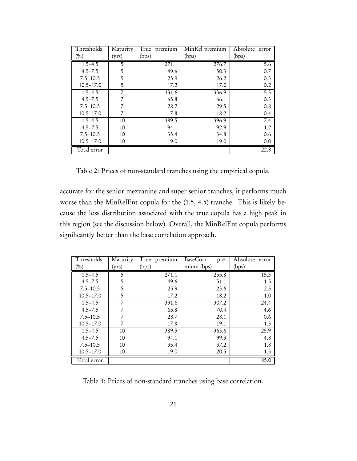| Thresholds    | Maturity | True premium | MinRel premium | Absolute<br>error |
|---------------|----------|--------------|----------------|-------------------|
| (%)           | (yrs)    | (bps)        | (bps)          | (bps)             |
| $1.5 - 4.5$   | 5        | 271.1        | 276.7          | 5.6               |
| $4.5 - 7.5$   | 5        | 49.6         | 50.3           | 0.7               |
| $7.5 - 10.5$  | 5        | 25.9         | 26.2           | 0.3               |
| $10.5 - 17.0$ | 5        | 17.2         | 17.0           | 0.2               |
| $1.5 - 4.5$   |          | 331.6        | 336.9          | 5.3               |
| $4.5 - 7.5$   |          | 65.8         | 66.1           | 0.3               |
| $7.5 - 10.5$  |          | 28.7         | 29.5           | 0.8               |
| $10.5 - 17.0$ |          | 17.8         | 18.2           | 0.4               |
| $1.5 - 4.5$   | 10       | 389.5        | 396.9          | 7.4               |
| $4.5 - 7.5$   | 10       | 94.1         | 92.9           | 1.2               |
| $7.5 - 10.5$  | 10       | 35.4         | 34.8           | 0.6               |
| $10.5 - 17.0$ | 10       | 19.0         | 19.0           | 0.0               |
| Total error   |          |              |                | 22.8              |

Table 2: Prices of non-standard tranches using the empirical copula.

accurate for the senior mezzanine and super senior tranches, it performs much worse than the MinRelEnt copula for the (1.5, 4.5) tranche. This is likely because the loss distribution associated with the true copula has a high peak in this region (see the discussion below). Overall, the MinRelEnt copula performs significantly better than the base correlation approach.

| Thresholds    | Maturity | True premium       | BaseCorr<br>pre- | Absolute error |
|---------------|----------|--------------------|------------------|----------------|
| (%)           | (yrs)    | (bps)              | mium (bps)       | (bps)          |
| $1.5 - 4.5$   | 5        | $\overline{271.1}$ | 255.8            | 15.3           |
| $4.5 - 7.5$   | 5        | 49.6               | 51.1             | 1.5            |
| $7.5 - 10.5$  | 5        | 25.9               | 23.6             | 2.3            |
| $10.5 - 17.0$ | 5        | 17.2               | 18.2             | 1.0            |
| $1.5 - 4.5$   |          | 331.6              | 307.2            | 24.4           |
| $4.5 - 7.5$   |          | 65.8               | 70.4             | 4.6            |
| $7.5 - 10.5$  |          | 28.7               | 28.1             | 0.6            |
| $10.5 - 17.0$ |          | 17.8               | 19.1             | 1.3            |
| $1.5 - 4.5$   | 10       | 389.5              | 363.6            | 25.9           |
| $4.5 - 7.5$   | 10       | 94.1               | 99.3             | 4.8            |
| $7.5 - 10.5$  | 10       | 35.4               | 37.2             | 1.8            |
| $10.5 - 17.0$ | 10       | 19.0               | 20.5             | 1.5            |
| Total error   |          |                    |                  | 85.0           |

Table 3: Prices of non-standard tranches using base correlation.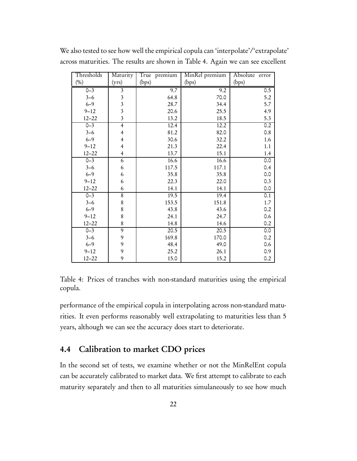| Thresholds | Maturity                | True premium | MinRel premium | Absolute error   |
|------------|-------------------------|--------------|----------------|------------------|
| (%)        | (yrs)                   | (bps)        | (bps)          | (bps)            |
| $0 - 3$    | $\overline{\mathbf{3}}$ | 9.7          | 9.2            | 0.5              |
| $3 - 6$    | $\overline{\mathbf{3}}$ | 64.8         | 70.0           | 5.2              |
| $6 - 9$    | $\overline{\mathbf{3}}$ | 28.7         | 34.4           | 5.7              |
| $9 - 12$   | $\overline{\mathbf{3}}$ | 20.6         | 25.5           | 4.9              |
| $12 - 22$  | $\overline{\mathbf{3}}$ | 13.2         | 18.5           | 5.3              |
| $0 - 3$    | $\overline{4}$          | 12.4         | 12.2           | 0.2              |
| $3 - 6$    | $\overline{\mathbf{4}}$ | 81.2         | 82.0           | 0.8              |
| $6 - 9$    | 4                       | 30.6         | 32.2           | 1.6              |
| $9 - 12$   | $\overline{4}$          | 21.3         | 22.4           | 1.1              |
| $12 - 22$  | $\overline{\mathbf{4}}$ | 13.7         | 15.1           | 1.4              |
| $0 - 3$    | 6                       | 16.6         | 16.6           | 0.0              |
| $3 - 6$    | 6                       | 117.5        | 117.1          | 0.4              |
| $6 - 9$    | 6                       | 35.8         | 35.8           | 0.0              |
| $9 - 12$   | 6                       | 22.3         | 22.0           | 0.3              |
| $12 - 22$  | 6                       | 14.1         | 14.1           | 0.0              |
| $0 - 3$    | 8                       | 19.5         | 19.4           | $\overline{0.1}$ |
| $3 - 6$    | 8                       | 153.5        | 151.8          | 1.7              |
| $6 - 9$    | 8                       | 43.8         | 43.6           | 0.2              |
| $9 - 12$   | 8                       | 24.1         | 24.7           | 0.6              |
| $12 - 22$  | 8                       | 14.8         | 14.6           | 0.2              |
| $0 - 3$    | $\overline{9}$          | 20.5         | 20.5           | 0.0              |
| $3 - 6$    | 9                       | 169.8        | 170.0          | 0.2              |
| $6 - 9$    | 9                       | 48.4         | 49.0           | 0.6              |
| $9 - 12$   | 9                       | 25.2         | 26.1           | 0.9              |
| $12 - 22$  | 9                       | 15.0         | 15.2           | 0.2              |

We also tested to see how well the empirical copula can 'interpolate'/'extrapolate' across maturities. The results are shown in Table 4. Again we can see excellent

Table 4: Prices of tranches with non-standard maturities using the empirical copula.

performance of the empirical copula in interpolating across non-standard maturities. It even performs reasonably well extrapolating to maturities less than 5 years, although we can see the accuracy does start to deteriorate.

#### 4.4 Calibration to market CDO prices

In the second set of tests, we examine whether or not the MinRelEnt copula can be accurately calibrated to market data. We first attempt to calibrate to each maturity separately and then to all maturities simulaneously to see how much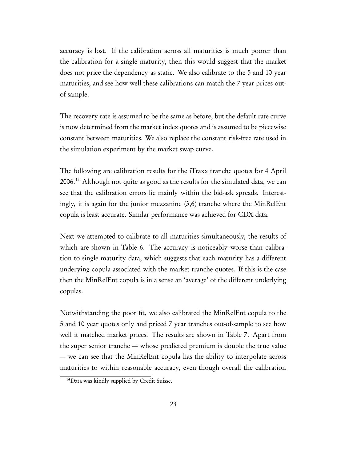accuracy is lost. If the calibration across all maturities is much poorer than the calibration for a single maturity, then this would suggest that the market does not price the dependency as static. We also calibrate to the 5 and 10 year maturities, and see how well these calibrations can match the 7 year prices outof-sample.

The recovery rate is assumed to be the same as before, but the default rate curve is now determined from the market index quotes and is assumed to be piecewise constant between maturities. We also replace the constant risk-free rate used in the simulation experiment by the market swap curve.

The following are calibration results for the iTraxx tranche quotes for 4 April 2006.<sup>14</sup> Although not quite as good as the results for the simulated data, we can see that the calibration errors lie mainly within the bid-ask spreads. Interestingly, it is again for the junior mezzanine (3,6) tranche where the MinRelEnt copula is least accurate. Similar performance was achieved for CDX data.

Next we attempted to calibrate to all maturities simultaneously, the results of which are shown in Table 6. The accuracy is noticeably worse than calibration to single maturity data, which suggests that each maturity has a different underying copula associated with the market tranche quotes. If this is the case then the MinRelEnt copula is in a sense an 'average' of the different underlying copulas.

Notwithstanding the poor fit, we also calibrated the MinRelEnt copula to the 5 and 10 year quotes only and priced 7 year tranches out-of-sample to see how well it matched market prices. The results are shown in Table 7. Apart from the super senior tranche — whose predicted premium is double the true value — we can see that the MinRelEnt copula has the ability to interpolate across maturities to within reasonable accuracy, even though overall the calibration

<sup>14</sup>Data was kindly supplied by Credit Suisse.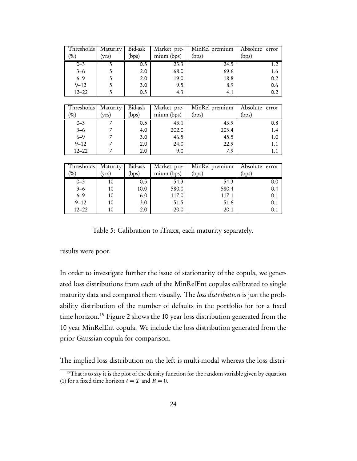| Thresholds | Maturity | Bid-ask | Market pre- | MinRel premium | Absolute error    |
|------------|----------|---------|-------------|----------------|-------------------|
| (%)        | (yrs)    | (bps)   | mium (bps)  | (bps)          | (bps)             |
| $0 - 3$    | 5        | 0.5     | 23.3        | 24.5           | 1.2               |
| $3 - 6$    | 5        | 2.0     | 68.0        | 69.6           | 1.6               |
| $6 - 9$    | 5        | 2.0     | 19.0        | 18.8           | 0.2               |
| $9 - 12$   | 5        | 3.0     | 9.5         | 8.9            | 0.6               |
| $12 - 22$  | 5        | 0.5     | 4.3         | 4.1            | 0.2               |
|            |          |         |             |                |                   |
| Thresholds | Maturity | Bid-ask | Market pre- | MinRel premium | Absolute error    |
| (%)        | (yrs)    | (bps)   | mium (bps)  | (bps)          | (bps)             |
| $0 - 3$    | 7        | 0.5     | 43.1        | 43.9           | 0.8               |
| $3 - 6$    | 7        | 4.0     | 202.0       | 203.4          | 1.4               |
| $6 - 9$    | 7        | 3.0     | 46.5        | 45.5           | 1.0               |
| $9 - 12$   | 7        | 2.0     | 24.0        | 22.9           | 1.1               |
| $12 - 22$  | 7        | 2.0     | 9.0         | 7.9            | 1.1               |
|            |          |         |             |                |                   |
| Thresholds | Maturity | Bid-ask | Market pre- | MinRel premium | Absolute<br>error |
| $(\%)$     | (yrs)    | (bps)   | mium (bps)  | (bps)          | (bps)             |
| $0 - 3$    | 10       | 0.5     | 54.3        | 54.3           | 0.0               |
| $3 - 6$    | 10       | 10.0    | 580.0       | 580.4          | 0.4               |
| $6 - 9$    | 10       | 6.0     | 117.0       | 117.1          | 0.1               |
| $9 - 12$   | 10       | 3.0     | 51.5        | 51.6           | 0.1               |
| $12 - 22$  | 10       | 2.0     | 20.0        | 20.1           | 0.1               |

Table 5: Calibration to iTraxx, each maturity separately.

results were poor.

In order to investigate further the issue of stationarity of the copula, we generated loss distributions from each of the MinRelEnt copulas calibrated to single maturity data and compared them visually. The loss distribution is just the probability distribution of the number of defaults in the portfolio for for a fixed time horizon.<sup>15</sup> Figure 2 shows the 10 year loss distribution generated from the 10 year MinRelEnt copula. We include the loss distribution generated from the prior Gaussian copula for comparison.

The implied loss distribution on the left is multi-modal whereas the loss distri-

<sup>&</sup>lt;sup>15</sup>That is to say it is the plot of the density function for the random variable given by equation (1) for a fixed time horizon  $t = T$  and  $R = 0$ .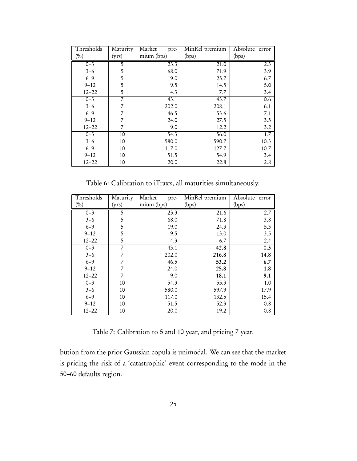| Thresholds | Maturity | Market<br>pre- | MinRel premium | Absolute error |
|------------|----------|----------------|----------------|----------------|
| (%)        | (yrs)    | mium (bps)     | (bps)          | (bps)          |
| $0 - 3$    | 5        | 23.3           | 21.0           | 2.3            |
| $3 - 6$    | 5        | 68.0           | 71.9           | 3.9            |
| $6 - 9$    | 5        | 19.0           | 25.7           | 6.7            |
| $9 - 12$   | 5        | 9.5            | 14.5           | 5.0            |
| $12 - 22$  | 5        | 4.3            | 7.7            | 3.4            |
| $0 - 3$    | 7        | 43.1           | 43.7           | 0.6            |
| $3 - 6$    |          | 202.0          | 208.1          | 6.1            |
| $6 - 9$    |          | 46.5           | 53.6           | 7.1            |
| $9 - 12$   |          | 24.0           | 27.5           | 3.5            |
| $12 - 22$  | 7        | 9.0            | 12.2           | 3.2            |
| $0 - 3$    | 10       | 54.3           | 56.0           | 1.7            |
| $3 - 6$    | 10       | 580.0          | 590.7          | 10.3           |
| $6 - 9$    | 10       | 117.0          | 127.7          | 10.7           |
| $9 - 12$   | 10       | 51.5           | 54.9           | 3.4            |
| $12 - 22$  | 10       | 20.0           | 22.8           | 2.8            |

Table 6: Calibration to iTraxx, all maturities simultaneously.

| Thresholds | Maturity | Market<br>pre- | MinRel premium | Absolute error |
|------------|----------|----------------|----------------|----------------|
| (%)        | (yrs)    | mium (bps)     | (bps)          | (bps)          |
| $0 - 3$    | 5        | 23.3           | 21.6           | 2.7            |
| $3 - 6$    | 5        | 68.0           | 71.8           | 3.8            |
| $6 - 9$    | 5        | 19.0           | 24.3           | 5.3            |
| $9 - 12$   | 5        | 9.5            | 13.0           | 3.5            |
| $12 - 22$  | 5        | 4.3            | 6.7            | 2.4            |
| $0 - 3$    | 7        | 43.1           | 42.8           | 0.3            |
| $3 - 6$    | 7        | 202.0          | 216.8          | 14.8           |
| $6 - 9$    |          | 46.5           | 53.2           | 6.7            |
| $9 - 12$   |          | 24.0           | 25.8           | 1.8            |
| $12 - 22$  | 7        | 9.0            | 18.1           | 9.1            |
| $0 - 3$    | 10       | 54.3           | 55.3           | 1.0            |
| $3 - 6$    | 10       | 580.0          | 597.9          | 17.9           |
| $6 - 9$    | 10       | 117.0          | 132.5          | 15.4           |
| $9 - 12$   | 10       | 51.5           | 52.3           | 0.8            |
| $12 - 22$  | 10       | 20.0           | 19.2           | 0.8            |

Table 7: Calibration to 5 and 10 year, and pricing 7 year.

bution from the prior Gaussian copula is unimodal. We can see that the market is pricing the risk of a 'catastrophic' event corresponding to the mode in the 50–60 defaults region.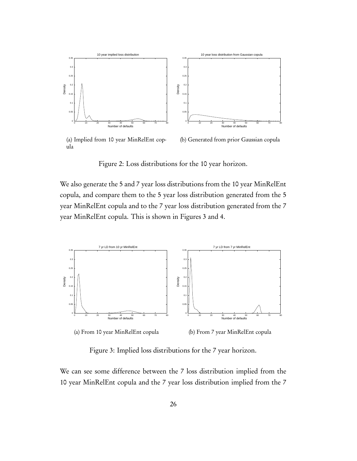

(a) Implied from 10 year MinRelEnt copula

(b) Generated from prior Gaussian copula

Figure 2: Loss distributions for the 10 year horizon.

We also generate the 5 and 7 year loss distributions from the 10 year MinRelEnt copula, and compare them to the 5 year loss distribution generated from the 5 year MinRelEnt copula and to the 7 year loss distribution generated from the 7 year MinRelEnt copula. This is shown in Figures 3 and 4.



(a) From 10 year MinRelEnt copula

(b) From 7 year MinRelEnt copula

Figure 3: Implied loss distributions for the 7 year horizon.

We can see some difference between the 7 loss distribution implied from the 10 year MinRelEnt copula and the 7 year loss distribution implied from the 7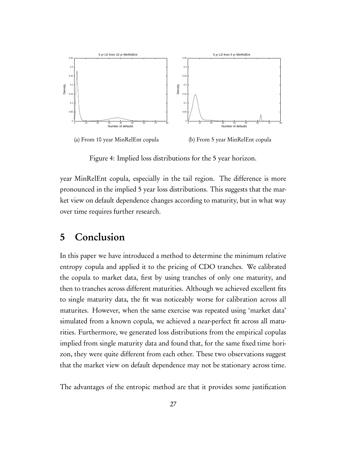

(a) From 10 year MinRelEnt copula (b) From 5 year MinRelEnt copula

Figure 4: Implied loss distributions for the 5 year horizon.

year MinRelEnt copula, especially in the tail region. The difference is more pronounced in the implied 5 year loss distributions. This suggests that the market view on default dependence changes according to maturity, but in what way over time requires further research.

# 5 Conclusion

In this paper we have introduced a method to determine the minimum relative entropy copula and applied it to the pricing of CDO tranches. We calibrated the copula to market data, first by using tranches of only one maturity, and then to tranches across different maturities. Although we achieved excellent fits to single maturity data, the fit was noticeably worse for calibration across all maturites. However, when the same exercise was repeated using 'market data' simulated from a known copula, we achieved a near-perfect fit across all maturities. Furthermore, we generated loss distributions from the empirical copulas implied from single maturity data and found that, for the same fixed time horizon, they were quite different from each other. These two observations suggest that the market view on default dependence may not be stationary across time.

The advantages of the entropic method are that it provides some justification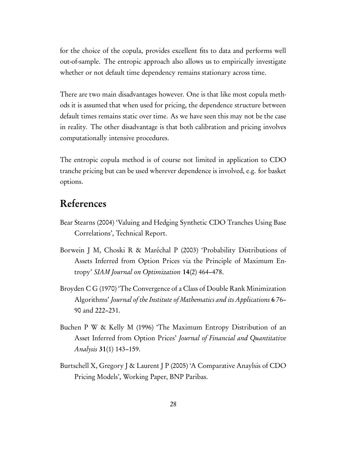for the choice of the copula, provides excellent fits to data and performs well out-of-sample. The entropic approach also allows us to empirically investigate whether or not default time dependency remains stationary across time.

There are two main disadvantages however. One is that like most copula methods it is assumed that when used for pricing, the dependence structure between default times remains static over time. As we have seen this may not be the case in reality. The other disadvantage is that both calibration and pricing involves computationally intensive procedures.

The entropic copula method is of course not limited in application to CDO tranche pricing but can be used wherever dependence is involved, e.g. for basket options.

# References

- Bear Stearns (2004) 'Valuing and Hedging Synthetic CDO Tranches Using Base Correlations', Technical Report.
- Borwein J M, Choski R & Maréchal P (2003) 'Probability Distributions of Assets Inferred from Option Prices via the Principle of Maximum Entropy' SIAM Journal on Optimization 14(2) 464–478.
- Broyden C G (1970) 'The Convergence of a Class of Double Rank Minimization Algorithms' Journal of the Institute of Mathematics and its Applications 6 76– 90 and 222–231.
- Buchen P W & Kelly M (1996) 'The Maximum Entropy Distribution of an Asset Inferred from Option Prices' Journal of Financial and Quantitative Analysis 31(1) 143–159.
- Burtschell X, Gregory J & Laurent J P (2005) 'A Comparative Anaylsis of CDO Pricing Models', Working Paper, BNP Paribas.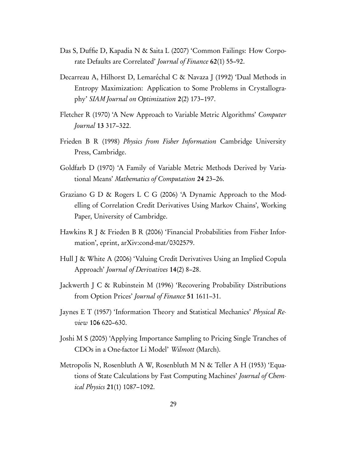- Das S, Duffie D, Kapadia N & Saita L (2007) 'Common Failings: How Corporate Defaults are Correlated' Journal of Finance 62(1) 55–92.
- Decarreau A, Hilhorst D, Lemaréchal C & Navaza J (1992) 'Dual Methods in Entropy Maximization: Application to Some Problems in Crystallography' SIAM Journal on Optimization 2(2) 173–197.
- Fletcher R (1970) 'A New Approach to Variable Metric Algorithms' Computer Journal 13 317–322.
- Frieden B R (1998) Physics from Fisher Information Cambridge University Press, Cambridge.
- Goldfarb D (1970) 'A Family of Variable Metric Methods Derived by Variational Means' Mathematics of Computation 24 23–26.
- Graziano G D & Rogers L C G (2006) 'A Dynamic Approach to the Modelling of Correlation Credit Derivatives Using Markov Chains', Working Paper, University of Cambridge.
- Hawkins R J & Frieden B R (2006) 'Financial Probabilities from Fisher Information', eprint, arXiv:cond-mat/0302579.
- Hull J & White A (2006) 'Valuing Credit Derivatives Using an Implied Copula Approach' Journal of Derivatives 14(2) 8–28.
- Jackwerth J C & Rubinstein M (1996) 'Recovering Probability Distributions from Option Prices' Journal of Finance 51 1611–31.
- Jaynes E T (1957) 'Information Theory and Statistical Mechanics' Physical Review 106 620–630.
- Joshi M S (2005) 'Applying Importance Sampling to Pricing Single Tranches of CDOs in a One-factor Li Model' Wilmott (March).
- Metropolis N, Rosenbluth A W, Rosenbluth M N & Teller A H (1953) 'Equations of State Calculations by Fast Computing Machines' Journal of Chemical Physics 21(1) 1087–1092.